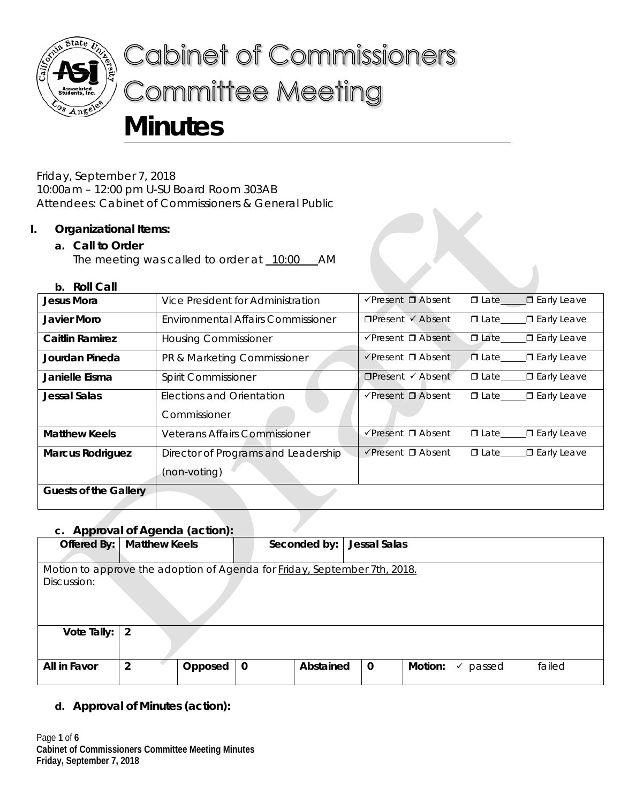

# **Cabinet of Commissioners Committee Meeting Minutes**

Friday, September 7, 2018 10:00am – 12:00 pm U-SU Board Room 303AB Attendees: Cabinet of Commissioners & General Public

## **I. Organizational Items:**

## **a. Call to Order**

The meeting was called to order at 10:00 AM

#### **b. Roll Call**

| Jesus Mora              | Vice President for Administration         | $\checkmark$ Present $\Box$ Absent | <b>O</b> Late D Early Leave         |
|-------------------------|-------------------------------------------|------------------------------------|-------------------------------------|
| Javier Moro             | <b>Environmental Affairs Commissioner</b> | $\Box$ Present $\checkmark$ Absent | □ Late______ □ Early Leave          |
| <b>Caitlin Ramirez</b>  | <b>Housing Commissioner</b>               | $\sqrt{P}$ resent $\Box$ Absent    | □ Late______ □ Early Leave          |
| Jourdan Pineda          | PR & Marketing Commissioner               | $\checkmark$ Present $\Box$ Absent | □ Late______□ Early Leave           |
| Janielle Eisma          | Spirit Commissioner                       | $\Box$ Present $\checkmark$ Absent | $\Box$ Late $\Box$ Early Leave      |
| <b>Jessal Salas</b>     | <b>Elections and Orientation</b>          | $\sqrt{P}$ resent $\Box$ Absent    | □ Early Leave                       |
|                         | Commissioner                              |                                    |                                     |
| <b>Matthew Keels</b>    | <b>Veterans Affairs Commissioner</b>      | $\sqrt{P}$ resent $\Box$ Absent    | <b>□</b> Early Leave<br>$\Box$ Late |
| <b>Marcus Rodriguez</b> | Director of Programs and Leadership       | $\checkmark$ Present $\Box$ Absent | $\Box$ Late $\Box$ Early Leave      |
|                         | (non-voting)                              |                                    |                                     |
| Guests of the Gallery   |                                           |                                    |                                     |

# **c. Approval of Agenda (action):**

| c. Apploval of Agenaa (action).                                           |                      |         |             |              |              |         |             |        |
|---------------------------------------------------------------------------|----------------------|---------|-------------|--------------|--------------|---------|-------------|--------|
| Offered By:                                                               | <b>Matthew Keels</b> |         |             | Seconded by: | Jessal Salas |         |             |        |
|                                                                           |                      |         |             |              |              |         |             |        |
| Motion to approve the adoption of Agenda for Friday, September 7th, 2018. |                      |         |             |              |              |         |             |        |
| Discussion:                                                               |                      |         |             |              |              |         |             |        |
|                                                                           |                      |         |             |              |              |         |             |        |
|                                                                           |                      |         |             |              |              |         |             |        |
|                                                                           |                      |         |             |              |              |         |             |        |
| Vote Tally: $ 2 $                                                         |                      |         |             |              |              |         |             |        |
|                                                                           |                      |         |             |              |              |         |             |        |
|                                                                           |                      |         |             |              |              |         |             |        |
| All in Favor                                                              | $\overline{2}$       | Opposed | $\mathbf 0$ | Abstained    | $\mathbf 0$  | Motion: | passed<br>✓ | failed |
|                                                                           |                      |         |             |              |              |         |             |        |

**d. Approval of Minutes (action):**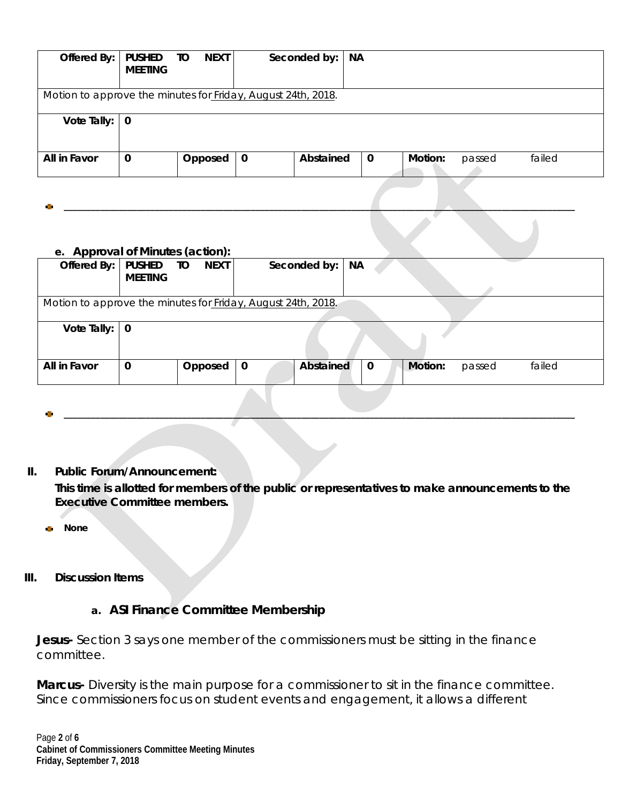| Offered By:                                                  | <b>PUSHED</b><br><b>MEETING</b> | <b>NEXT</b><br>TO |             | Seconded by: | <b>NA</b>   |         |        |        |  |
|--------------------------------------------------------------|---------------------------------|-------------------|-------------|--------------|-------------|---------|--------|--------|--|
| Motion to approve the minutes for Friday, August 24th, 2018. |                                 |                   |             |              |             |         |        |        |  |
| Vote Tally: $\vert 0 \vert$                                  |                                 |                   |             |              |             |         |        |        |  |
| All in Favor                                                 | $\mathbf 0$                     | Opposed           | $\mathbf 0$ | Abstained    | $\mathbf 0$ | Motion: | passed | failed |  |

**\_\_\_\_\_\_\_\_\_\_\_\_\_\_\_\_\_\_\_\_\_\_\_\_\_\_\_\_\_\_\_\_\_\_\_\_\_\_\_\_\_\_\_\_\_\_\_\_\_\_\_\_\_\_\_\_\_\_\_\_\_\_\_\_\_\_\_\_\_\_\_\_\_\_\_\_\_\_\_\_\_\_\_\_\_\_\_\_\_\_\_\_\_\_\_\_\_\_\_\_\_\_\_\_\_\_\_\_\_\_\_\_**

#### **e. Approval of Minutes (action):**

| $e$ . Apploval of millions (action).                         |                |                   |             |                   |             |         |        |        |
|--------------------------------------------------------------|----------------|-------------------|-------------|-------------------|-------------|---------|--------|--------|
| Offered By:                                                  | <b>PUSHED</b>  | <b>NEXT</b><br>TО |             | Seconded by:   NA |             |         |        |        |
|                                                              |                |                   |             |                   |             |         |        |        |
|                                                              | <b>MEETING</b> |                   |             |                   |             |         |        |        |
|                                                              |                |                   |             |                   |             |         |        |        |
|                                                              |                |                   |             |                   |             |         |        |        |
| Motion to approve the minutes for Friday, August 24th, 2018. |                |                   |             |                   |             |         |        |        |
|                                                              |                |                   |             |                   |             |         |        |        |
|                                                              |                |                   |             |                   |             |         |        |        |
| Vote Tally: $\vert 0 \vert$                                  |                |                   |             |                   |             |         |        |        |
|                                                              |                |                   |             |                   |             |         |        |        |
|                                                              |                |                   |             |                   |             |         |        |        |
|                                                              |                |                   |             |                   |             |         |        |        |
|                                                              |                |                   |             |                   |             |         |        |        |
| All in Favor                                                 | $\mathbf 0$    | Opposed           | $\mathbf 0$ | Abstained         | $\mathbf 0$ | Motion: | passed | failed |
|                                                              |                |                   |             |                   |             |         |        |        |
|                                                              |                |                   |             |                   |             |         |        |        |
|                                                              |                |                   |             |                   |             |         |        |        |
|                                                              |                |                   |             |                   |             |         |        |        |

**\_\_\_\_\_\_\_\_\_\_\_\_\_\_\_\_\_\_\_\_\_\_\_\_\_\_\_\_\_\_\_\_\_\_\_\_\_\_\_\_\_\_\_\_\_\_\_\_\_\_\_\_\_\_\_\_\_\_\_\_\_\_\_\_\_\_\_\_\_\_\_\_\_\_\_\_\_\_\_\_\_\_\_\_\_\_\_\_\_\_\_\_\_\_\_\_\_\_\_\_\_\_\_\_\_\_\_\_\_\_\_\_**

#### **II. Public Forum/Announcement:**

**This time is allotted for members of the public or representatives to make announcements to the Executive Committee members.**

**None**

#### **III. Discussion Items**

# **a. ASI Finance Committee Membership**

**Jesus-** Section 3 says one member of the commissioners must be sitting in the finance committee.

**Marcus-** Diversity is the main purpose for a commissioner to sit in the finance committee. Since commissioners focus on student events and engagement, it allows a different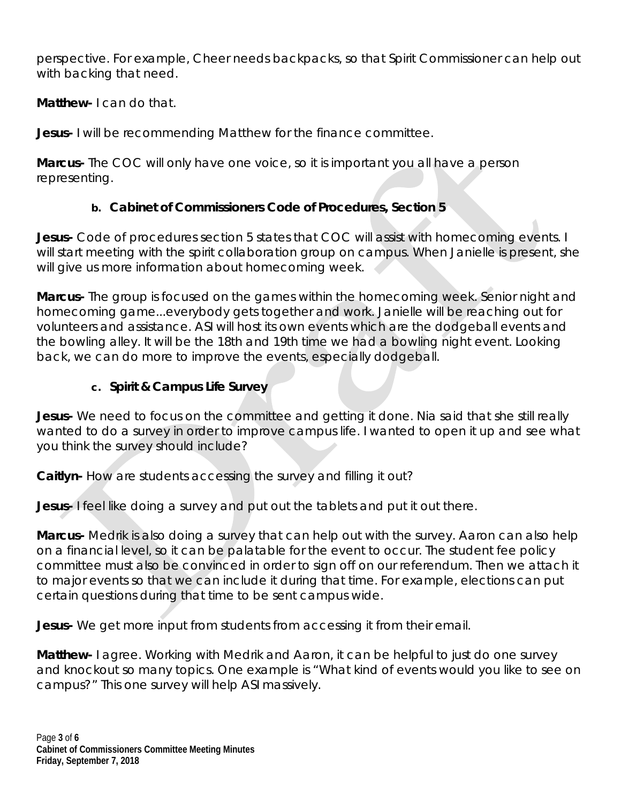perspective. For example, Cheer needs backpacks, so that Spirit Commissioner can help out with backing that need.

**Matthew-** I can do that.

**Jesus-** I will be recommending Matthew for the finance committee.

**Marcus-** The COC will only have one voice, so it is important you all have a person representing.

# **b. Cabinet of Commissioners Code of Procedures, Section 5**

**Jesus-** Code of procedures section 5 states that COC will assist with homecoming events. I will start meeting with the spirit collaboration group on campus. When Janielle is present, she will give us more information about homecoming week.

**Marcus-** The group is focused on the games within the homecoming week. Senior night and homecoming game...everybody gets together and work. Janielle will be reaching out for volunteers and assistance. ASI will host its own events which are the dodgeball events and the bowling alley. It will be the 18th and 19th time we had a bowling night event. Looking back, we can do more to improve the events, especially dodgeball.

# **c. Spirit & Campus Life Survey**

**Jesus-** We need to focus on the committee and getting it done. Nia said that she still really wanted to do a survey in order to improve campus life. I wanted to open it up and see what you think the survey should include?

**Caitlyn-** How are students accessing the survey and filling it out?

**Jesus-** I feel like doing a survey and put out the tablets and put it out there.

**Marcus-** Medrik is also doing a survey that can help out with the survey. Aaron can also help on a financial level, so it can be palatable for the event to occur. The student fee policy committee must also be convinced in order to sign off on our referendum. Then we attach it to major events so that we can include it during that time. For example, elections can put certain questions during that time to be sent campus wide.

**Jesus-** We get more input from students from accessing it from their email.

**Matthew-** I agree. Working with Medrik and Aaron, it can be helpful to just do one survey and knockout so many topics. One example is "What kind of events would you like to see on campus?" This one survey will help ASI massively.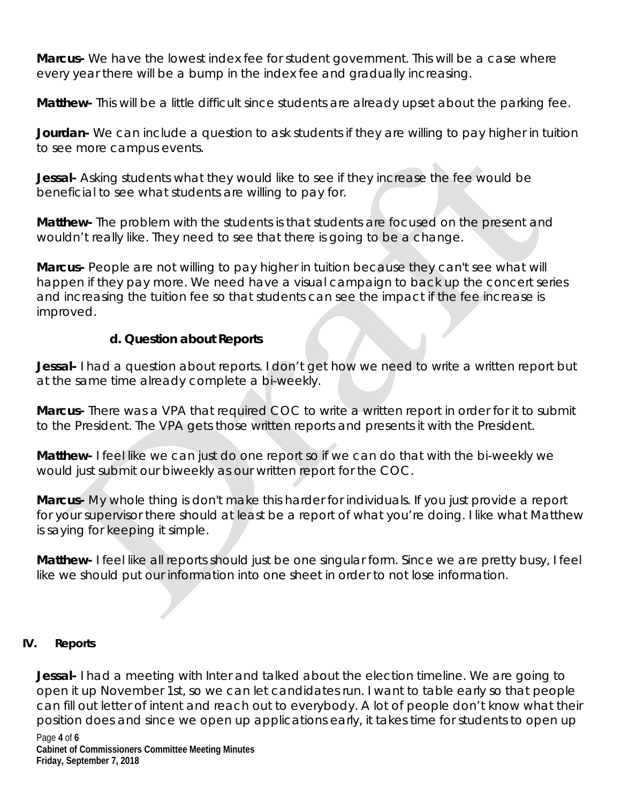**Marcus-** We have the lowest index fee for student government. This will be a case where every year there will be a bump in the index fee and gradually increasing.

**Matthew-** This will be a little difficult since students are already upset about the parking fee.

**Jourdan-** We can include a question to ask students if they are willing to pay higher in tuition to see more campus events.

**Jessal-** Asking students what they would like to see if they increase the fee would be beneficial to see what students are willing to pay for.

**Matthew-** The problem with the students is that students are focused on the present and wouldn't really like. They need to see that there is going to be a change.

**Marcus-** People are not willing to pay higher in tuition because they can't see what will happen if they pay more. We need have a visual campaign to back up the concert series and increasing the tuition fee so that students can see the impact if the fee increase is improved.

# **d. Question about Reports**

**Jessal-** I had a question about reports. I don't get how we need to write a written report but at the same time already complete a bi-weekly.

**Marcus-** There was a VPA that required COC to write a written report in order for it to submit to the President. The VPA gets those written reports and presents it with the President.

**Matthew-** I feel like we can just do one report so if we can do that with the bi-weekly we would just submit our biweekly as our written report for the COC.

**Marcus-** My whole thing is don't make this harder for individuals. If you just provide a report for your supervisor there should at least be a report of what you're doing. I like what Matthew is saying for keeping it simple.

**Matthew-** I feel like all reports should just be one singular form. Since we are pretty busy, I feel like we should put our information into one sheet in order to not lose information.

# **IV. Reports**

**Jessal-** I had a meeting with Inter and talked about the election timeline. We are going to open it up November 1st, so we can let candidates run. I want to table early so that people can fill out letter of intent and reach out to everybody. A lot of people don't know what their position does and since we open up applications early, it takes time for students to open up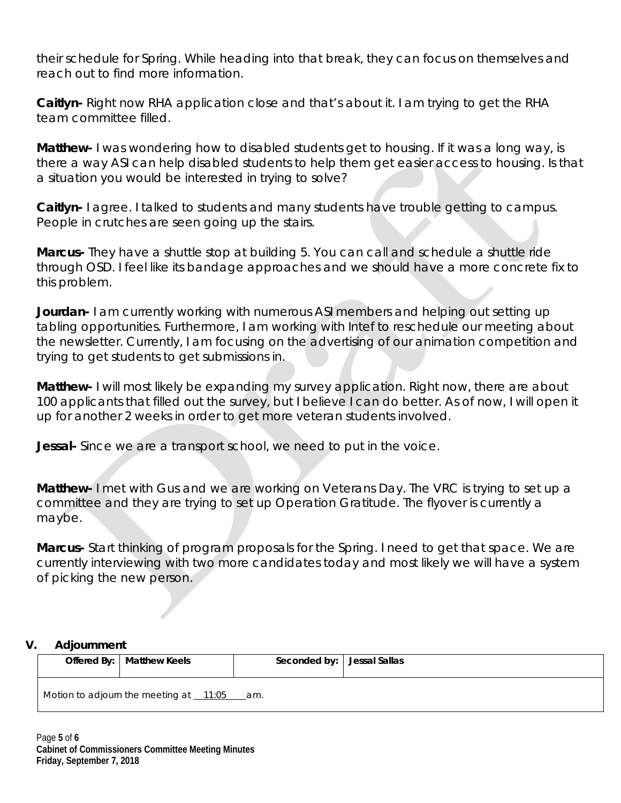their schedule for Spring. While heading into that break, they can focus on themselves and reach out to find more information.

**Caitlyn-** Right now RHA application close and that's about it. I am trying to get the RHA team committee filled.

**Matthew-** I was wondering how to disabled students get to housing. If it was a long way, is there a way ASI can help disabled students to help them get easier access to housing. Is that a situation you would be interested in trying to solve?

**Caitlyn-** I agree. I talked to students and many students have trouble getting to campus. People in crutches are seen going up the stairs.

**Marcus-** They have a shuttle stop at building 5. You can call and schedule a shuttle ride through OSD. I feel like its bandage approaches and we should have a more concrete fix to this problem.

**Jourdan-** I am currently working with numerous ASI members and helping out setting up tabling opportunities. Furthermore, I am working with Intef to reschedule our meeting about the newsletter. Currently, I am focusing on the advertising of our animation competition and trying to get students to get submissions in.

**Matthew-** I will most likely be expanding my survey application. Right now, there are about 100 applicants that filled out the survey, but I believe I can do better. As of now, I will open it up for another 2 weeks in order to get more veteran students involved.

**Jessal-** Since we are a transport school, we need to put in the voice.

**Matthew-** I met with Gus and we are working on Veterans Day. The VRC is trying to set up a committee and they are trying to set up Operation Gratitude. The flyover is currently a maybe.

**Marcus-** Start thinking of program proposals for the Spring. I need to get that space. We are currently interviewing with two more candidates today and most likely we will have a system of picking the new person.

## **V. Adjournment**

|        | Offered By:   Matthew Keels | Seconded by:   Jessal Sallas |  |
|--------|-----------------------------|------------------------------|--|
| .<br>. | $\overline{a}$              |                              |  |

Motion to adjourn the meeting at  $11:05$  am.